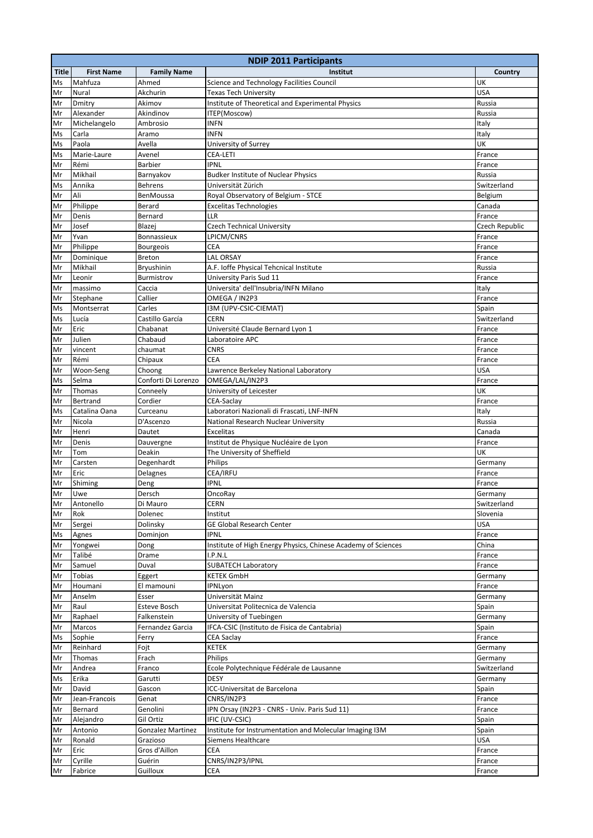|              | <b>NDIP 2011 Participants</b> |                          |                                                               |                     |
|--------------|-------------------------------|--------------------------|---------------------------------------------------------------|---------------------|
| <b>Title</b> | <b>First Name</b>             | <b>Family Name</b>       | Institut                                                      | Country             |
| Ms           | Mahfuza                       | Ahmed                    | Science and Technology Facilities Council                     | UK                  |
| Mr           | Nural                         | Akchurin                 | <b>Texas Tech University</b>                                  | <b>USA</b>          |
| Mr           | Dmitry                        | Akimov                   | Institute of Theoretical and Experimental Physics             | Russia              |
| Mr           | Alexander                     | Akindinov                | ITEP(Moscow)                                                  | Russia              |
| Mr           | Michelangelo                  | Ambrosio                 | <b>INFN</b>                                                   | Italy               |
| Ms           | Carla                         | Aramo                    | <b>INFN</b>                                                   | Italy               |
| Ms           | Paola                         | Avella                   | University of Surrey                                          | UK                  |
| Ms           | Marie-Laure                   | Avenel                   | <b>CEA-LETI</b>                                               | France              |
| Mr           | Rémi                          | <b>Barbier</b>           | <b>IPNL</b>                                                   | France              |
| Mr           | Mikhail                       | Barnyakov                | <b>Budker Institute of Nuclear Physics</b>                    | Russia              |
| Ms           | Annika                        | <b>Behrens</b>           | Universität Zürich                                            | Switzerland         |
| Mr           | Ali                           | <b>BenMoussa</b>         | Royal Observatory of Belgium - STCE                           | Belgium             |
| Mr           | Philippe                      | Berard                   | <b>Excelitas Technologies</b>                                 | Canada              |
| Mr           | Denis                         | Bernard                  | <b>LLR</b>                                                    | France              |
| Mr           | Josef                         | Blazej                   | Czech Technical University                                    | Czech Republic      |
| Mr           | Yvan                          | Bonnassieux              | LPICM/CNRS                                                    | France              |
| Mr           | Philippe                      | <b>Bourgeois</b>         | <b>CEA</b>                                                    | France              |
| Mr           | Dominique                     | Breton                   | <b>LAL ORSAY</b>                                              | France              |
| Mr           | Mikhail                       | Bryushinin               | A.F. Ioffe Physical Tehcnical Institute                       | Russia              |
| Mr           | Leonir                        | Burmistrov               | University Paris Sud 11                                       | France              |
| Mr           | massimo                       | Caccia                   | Universita' dell'Insubria/INFN Milano                         | Italy               |
| Mr           | Stephane                      | Callier                  | OMEGA / IN2P3                                                 | France              |
| Ms           | Montserrat                    | Carles                   | I3M (UPV-CSIC-CIEMAT)                                         | Spain               |
| Ms           | Lucía                         | Castillo García          | CERN                                                          | Switzerland         |
| Mr           | Eric                          | Chabanat                 | Université Claude Bernard Lyon 1                              | France              |
| Mr           | Julien                        | Chabaud                  | Laboratoire APC                                               | France              |
| Mr           | vincent                       | chaumat                  | <b>CNRS</b>                                                   | France              |
| Mr           | Rémi                          | Chipaux                  | <b>CEA</b>                                                    | France              |
| Mr           | Woon-Seng                     | Choong                   | Lawrence Berkeley National Laboratory                         | <b>USA</b>          |
| Ms           | Selma                         | Conforti Di Lorenzo      | OMEGA/LAL/IN2P3                                               | France              |
| Mr           | Thomas                        | Conneely                 | University of Leicester                                       | UK                  |
| Mr           | Bertrand                      | Cordier                  | CEA-Saclay                                                    | France              |
| Ms           | Catalina Oana                 | Curceanu                 | Laboratori Nazionali di Frascati, LNF-INFN                    | Italy               |
| Mr           | Nicola                        | D'Ascenzo                | National Research Nuclear University                          | Russia              |
| Mr           | Henri                         | Dautet                   | <b>Excelitas</b>                                              | Canada              |
| Mr           | Denis                         | Dauvergne                | Institut de Physique Nucléaire de Lyon                        | France              |
| Mr           | Tom                           | Deakin                   | The University of Sheffield                                   | UK                  |
| Mr           | Carsten                       | Degenhardt               | Philips                                                       | Germany             |
| Mr           | Eric                          | Delagnes                 | CEA/IRFU                                                      | France              |
| Mr           | Shiming                       | Deng                     | <b>IPNL</b>                                                   | France              |
| Mr           | Uwe                           | Dersch                   | OncoRay                                                       | Germany             |
| Mr           | Antonello                     | Di Mauro                 | CERN                                                          | Switzerland         |
| Mr           | Rok                           | Dolenec                  | Institut                                                      | Slovenia            |
| Mr           | Sergei                        | Dolinsky                 | <b>GE Global Research Center</b>                              | <b>USA</b>          |
| Ms           | Agnes                         | Dominjon                 | <b>IPNL</b>                                                   | France              |
| Mr           | Yongwei                       | Dong                     | Institute of High Energy Physics, Chinese Academy of Sciences | China               |
| Mr           | Talibé                        | Drame                    | I.P.N.L                                                       | France              |
| Mr           | Samuel                        | Duval                    | <b>SUBATECH Laboratory</b>                                    | France              |
| Mr           | Tobias                        | Eggert                   | <b>KETEK GmbH</b>                                             | Germany             |
| Mr           | Houmani                       | El mamouni               | IPNLyon                                                       | France              |
| Mr           | Anselm                        | Esser                    | Universität Mainz                                             | Germany             |
| Mr           | Raul                          | Esteve Bosch             | Universitat Politecnica de Valencia                           | Spain               |
| Mr           | Raphael                       | Falkenstein              | University of Tuebingen                                       | Germany             |
| Mr           | Marcos                        | Fernandez Garcia         | IFCA-CSIC (Instituto de Fisica de Cantabria)                  | Spain               |
| Ms           | Sophie                        | Ferry                    | <b>CEA Saclay</b>                                             | France              |
| Mr           | Reinhard                      | Fojt                     | KETEK                                                         | Germany             |
| Mr           | Thomas                        | Frach                    | Philips                                                       | Germany             |
| Mr           | Andrea                        | Franco                   | Ecole Polytechnique Fédérale de Lausanne                      | Switzerland         |
| Ms           | Erika                         | Garutti                  | DESY                                                          | Germany             |
| Mr           | David                         | Gascon                   | ICC-Universitat de Barcelona                                  | Spain               |
| Mr           | Jean-Francois                 | Genat                    | CNRS/IN2P3                                                    | France              |
| Mr           | Bernard                       | Genolini                 | IPN Orsay (IN2P3 - CNRS - Univ. Paris Sud 11)                 | France              |
| Mr           | Alejandro                     | Gil Ortiz                | IFIC (UV-CSIC)                                                | Spain               |
| Mr           | Antonio                       | <b>Gonzalez Martinez</b> | Institute for Instrumentation and Molecular Imaging I3M       |                     |
|              | Ronald                        | Grazioso                 | Siemens Healthcare                                            | Spain<br><b>USA</b> |
| Mr<br>Mr     | Eric                          | Gros d'Aillon            | CEA                                                           | France              |
|              |                               | Guérin                   | CNRS/IN2P3/IPNL                                               |                     |
| Mr           | Cyrille<br>Fabrice            | Guilloux                 | CEA                                                           | France              |
| Mr           |                               |                          |                                                               | France              |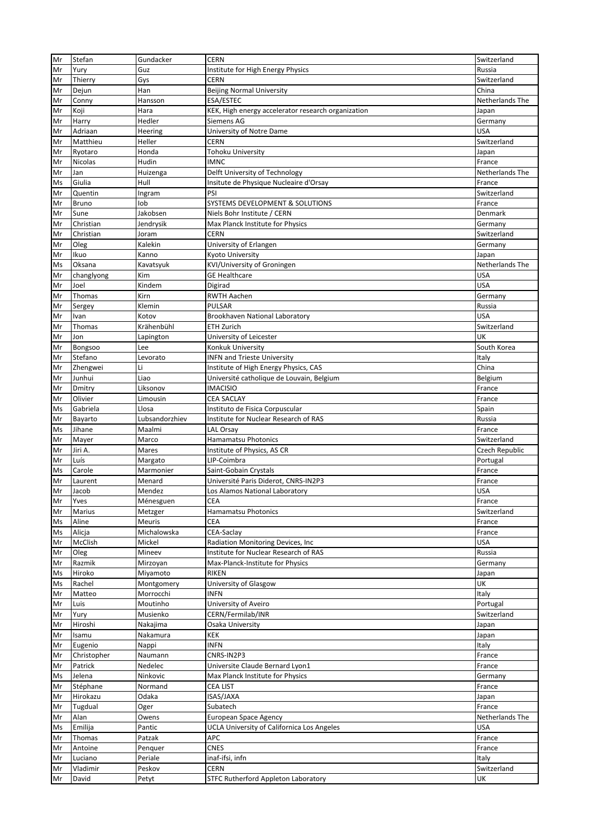| Mr | Stefan       | Gundacker      | <b>CERN</b>                                        | Switzerland     |
|----|--------------|----------------|----------------------------------------------------|-----------------|
| Mr | Yury         | Guz            | Institute for High Energy Physics                  | Russia          |
| Mr | Thierry      | Gys            | <b>CERN</b>                                        | Switzerland     |
| Mr | Dejun        | Han            | <b>Beijing Normal University</b>                   | China           |
| Mr | Conny        | Hansson        | ESA/ESTEC                                          | Netherlands The |
| Mr | Koji         | Hara           | KEK, High energy accelerator research organization | Japan           |
| Mr | Harry        | Hedler         | Siemens AG                                         | Germany         |
| Mr | Adriaan      | Heering        | University of Notre Dame                           | <b>USA</b>      |
| Mr | Matthieu     | Heller         | <b>CERN</b>                                        | Switzerland     |
| Mr | Ryotaro      | Honda          | <b>Tohoku University</b>                           | Japan           |
| Mr | Nicolas      | Hudin          | <b>IMNC</b>                                        | France          |
| Mr | Jan          | Huizenga       | Delft University of Technology                     | Netherlands The |
| Ms | Giulia       | Hull           | Insitute de Physique Nucleaire d'Orsay             | France          |
| Mr | Quentin      | Ingram         | PSI                                                | Switzerland     |
| Mr | <b>Bruno</b> | lob            | SYSTEMS DEVELOPMENT & SOLUTIONS                    | France          |
| Mr | Sune         | Jakobsen       | Niels Bohr Institute / CERN                        | Denmark         |
|    | Christian    | Jendrysik      | Max Planck Institute for Physics                   |                 |
| Mr |              |                |                                                    | Germany         |
| Mr | Christian    | Joram          | <b>CERN</b>                                        | Switzerland     |
| Mr | Oleg         | Kalekin        | University of Erlangen                             | Germany         |
| Mr | Ikuo         | Kanno          | Kyoto University                                   | Japan           |
| Ms | Oksana       | Kavatsyuk      | KVI/University of Groningen                        | Netherlands The |
| Mr | changlyong   | Kim            | <b>GE Healthcare</b>                               | USA             |
| Mr | Joel         | Kindem         | Digirad                                            | <b>USA</b>      |
| Mr | Thomas       | Kirn           | <b>RWTH Aachen</b>                                 | Germany         |
| Mr | Sergey       | Klemin         | <b>PULSAR</b>                                      | Russia          |
| Mr | Ivan         | Kotov          | Brookhaven National Laboratory                     | <b>USA</b>      |
| Mr | Thomas       | Krähenbühl     | <b>ETH Zurich</b>                                  | Switzerland     |
| Mr | Jon          | Lapington      | University of Leicester                            | UK              |
| Mr | Bongsoo      | Lee            | Konkuk University                                  | South Korea     |
| Mr | Stefano      | Levorato       | <b>INFN and Trieste University</b>                 | Italy           |
| Mr | Zhengwei     | Li             | Institute of High Energy Physics, CAS              | China           |
| Mr | Junhui       | Liao           | Université catholique de Louvain, Belgium          | Belgium         |
| Mr | Dmitry       | Liksonov       | <b>IMACISIO</b>                                    | France          |
|    | Olivier      | Limousin       | <b>CEA SACLAY</b>                                  |                 |
| Mr |              |                |                                                    | France          |
| Ms | Gabriela     | Llosa          | Instituto de Fisica Corpuscular                    | Spain           |
| Mr | Bayarto      | Lubsandorzhiev | Institute for Nuclear Research of RAS              | Russia          |
| Ms | Jihane       | Maalmi         | LAL Orsay                                          | France          |
| Mr | Mayer        | Marco          | <b>Hamamatsu Photonics</b>                         | Switzerland     |
| Mr | Jiri A.      | Mares          | Institute of Physics, AS CR                        | Czech Republic  |
| Mr | Luís         | Margato        | LIP-Coimbra                                        | Portugal        |
| Ms | Carole       | Marmonier      | Saint-Gobain Crystals                              | France          |
| Mr | Laurent      | Menard         | Université Paris Diderot, CNRS-IN2P3               | France          |
| Mr | Jacob        | Mendez         | Los Alamos National Laboratory                     | <b>USA</b>      |
| Mr | Yves         | Ménesguen      | <b>CEA</b>                                         | France          |
| Mr | Marius       | Metzger        | Hamamatsu Photonics                                | Switzerland     |
| Ms | Aline        | Meuris         | CEA                                                | France          |
| Ms | Alicja       | Michalowska    | CEA-Saclay                                         | France          |
| Mr | McClish      | Mickel         | Radiation Monitoring Devices, Inc                  | <b>USA</b>      |
| Mr | Oleg         | Mineev         | Institute for Nuclear Research of RAS              | Russia          |
| Mr | Razmik       | Mirzoyan       | Max-Planck-Institute for Physics                   | Germany         |
| Ms | Hiroko       | Miyamoto       | <b>RIKEN</b>                                       | Japan           |
| Ms | Rachel       | Montgomery     | University of Glasgow                              | UK              |
| Mr | Matteo       | Morrocchi      | <b>INFN</b>                                        | Italy           |
| Mr | Luis         | Moutinho       | University of Aveiro                               | Portugal        |
|    |              |                | CERN/Fermilab/INR                                  | Switzerland     |
| Mr | Yury         | Musienko       |                                                    |                 |
| Mr | Hiroshi      | Nakajima       | Osaka University                                   | Japan           |
| Mr | Isamu        | Nakamura       | <b>KEK</b>                                         | Japan           |
| Mr | Eugenio      | Nappi          | <b>INFN</b>                                        | Italy           |
| Mr | Christopher  | Naumann        | CNRS-IN2P3                                         | France          |
| Mr | Patrick      | Nedelec        | Universite Claude Bernard Lyon1                    | France          |
| Ms | Jelena       | Ninkovic       | Max Planck Institute for Physics                   | Germany         |
| Mr | Stéphane     | Normand        | <b>CEA LIST</b>                                    | France          |
| Mr | Hirokazu     | Odaka          | ISAS/JAXA                                          | Japan           |
| Mr | Tugdual      | Oger           | Subatech                                           | France          |
| Mr | Alan         | Owens          | European Space Agency                              | Netherlands The |
| Ms | Emilija      | Pantic         | <b>UCLA University of Californica Los Angeles</b>  | USA             |
| Mr | Thomas       | Patzak         | APC                                                | France          |
| Mr | Antoine      | Penguer        | <b>CNES</b>                                        | France          |
| Mr | Luciano      | Periale        | inaf-ifsi, infn                                    | Italy           |
|    | Vladimir     | Peskov         | <b>CERN</b>                                        | Switzerland     |
| Mr |              |                |                                                    |                 |
| Mr | David        | Petyt          | STFC Rutherford Appleton Laboratory                | UK              |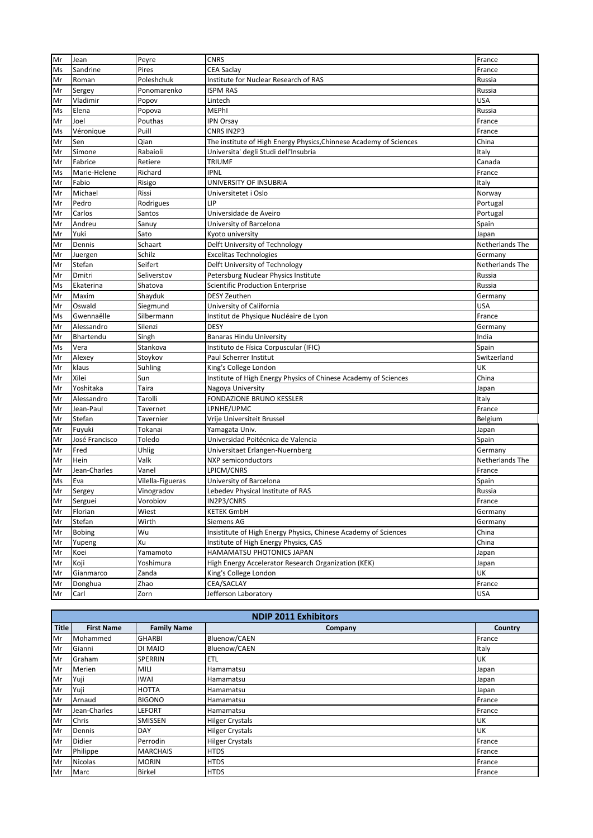| Mr       | Jean                    | Peyre            | <b>CNRS</b>                                                        | France                     |
|----------|-------------------------|------------------|--------------------------------------------------------------------|----------------------------|
| Ms       | Sandrine                | Pires            | <b>CEA Saclay</b>                                                  | France                     |
| Mr       | Roman                   | Poleshchuk       | Institute for Nuclear Research of RAS                              | Russia                     |
| Mr       | Sergey                  | Ponomarenko      | <b>ISPM RAS</b>                                                    | Russia                     |
| Mr       | Vladimir                | Popov            | Lintech                                                            | <b>USA</b>                 |
| Ms       | Elena                   | Popova           | <b>MEPhI</b>                                                       | Russia                     |
| Mr       | Joel                    | Pouthas          | <b>IPN Orsay</b>                                                   | France                     |
| Ms       | Véronique               | Puill            | CNRS IN2P3                                                         | France                     |
| Mr       | Sen                     | Qian             | The institute of High Energy Physics, Chinnese Academy of Sciences | China                      |
| Mr       | Simone                  | Rabaioli         | Universita' degli Studi dell'Insubria                              | Italy                      |
| Mr       | Fabrice                 | Retiere          | <b>TRIUMF</b>                                                      | Canada                     |
| Ms       | Marie-Helene            | Richard          | <b>IPNL</b>                                                        | France                     |
| Mr       | Fabio                   | Risigo           | UNIVERSITY OF INSUBRIA                                             | Italy                      |
| Mr       | Michael                 | Rissi            | Universitetet i Oslo                                               | Norway                     |
| Mr       | Pedro                   | Rodrigues        | LIP                                                                | Portugal                   |
| Mr       | Carlos                  | Santos           | Universidade de Aveiro                                             | Portugal                   |
| Mr       | Andreu                  | Sanuy            | University of Barcelona                                            | Spain                      |
| Mr       | Yuki                    | Sato             | Kyoto university                                                   | Japan                      |
|          |                         | Schaart          |                                                                    |                            |
| Mr<br>Mr | Dennis                  | Schilz           | Delft University of Technology<br><b>Excelitas Technologies</b>    | Netherlands The            |
| Mr       | Juergen<br>Stefan       | Seifert          | Delft University of Technology                                     | Germany<br>Netherlands The |
| Mr       | Dmitri                  | Seliverstov      |                                                                    | Russia                     |
|          |                         |                  | Petersburg Nuclear Physics Institute                               |                            |
| Ms       | Ekaterina<br>Maxim      | Shatova          | <b>Scientific Production Enterprise</b><br><b>DESY Zeuthen</b>     | Russia                     |
| Mr       |                         | Shayduk          |                                                                    | Germany                    |
| Mr       | Oswald<br>Gwennaëlle    | Siegmund         | University of California                                           | <b>USA</b>                 |
| Ms       |                         | Silbermann       | Institut de Physique Nucléaire de Lyon                             | France                     |
| Mr       | Alessandro<br>Bhartendu | Silenzi          | <b>DESY</b>                                                        | Germany                    |
| Mr       |                         | Singh            | <b>Banaras Hindu University</b>                                    | India                      |
| Ms       | Vera                    | Stankova         | Instituto de Física Corpuscular (IFIC)                             | Spain                      |
| Mr       | Alexey                  | Stoykov          | Paul Scherrer Institut                                             | Switzerland                |
| Mr       | klaus                   | Suhling          | King's College London                                              | UK                         |
| Mr       | Xilei                   | Sun              | Institute of High Energy Physics of Chinese Academy of Sciences    | China                      |
| Mr       | Yoshitaka               | Taira            | Nagoya University                                                  | Japan                      |
| Mr       | Alessandro              | Tarolli          | <b>FONDAZIONE BRUNO KESSLER</b>                                    | Italy                      |
| Mr       | Jean-Paul               | Tavernet         | LPNHE/UPMC                                                         | France                     |
| Mr       | Stefan                  | Tavernier        | Vrije Universiteit Brussel                                         | Belgium                    |
| Mr       | Fuyuki                  | Tokanai          | Yamagata Univ.                                                     | Japan                      |
| Mr       | José Francisco          | Toledo           | Universidad Poitécnica de Valencia                                 | Spain                      |
| Mr       | Fred                    | Uhlig            | Universitaet Erlangen-Nuernberg                                    | Germany                    |
| Mr       | Hein                    | Valk             | NXP semiconductors                                                 | Netherlands The            |
| Mr       | Jean-Charles            | Vanel            | LPICM/CNRS                                                         | France                     |
| Ms       | Eva                     | Vilella-Figueras | University of Barcelona                                            | Spain                      |
| Mr       | Sergey                  | Vinogradov       | Lebedev Physical Institute of RAS                                  | Russia                     |
| Mr       | Serguei                 | Vorobiov         | IN2P3/CNRS                                                         | France                     |
| Mr       | Florian                 | Wiest            | <b>KETEK GmbH</b>                                                  | Germany                    |
| Mr       | Stefan                  | Wirth            | Siemens AG                                                         | Germany                    |
| Mr       | <b>Bobing</b>           | Wu               | Insistitute of High Energy Physics, Chinese Academy of Sciences    | China                      |
| Mr       | Yupeng                  | Xu               | Institute of High Energy Physics, CAS                              | China                      |
| Mr       | Koei                    | Yamamoto         | HAMAMATSU PHOTONICS JAPAN                                          | Japan                      |
| Mr       | Koji                    | Yoshimura        | High Energy Accelerator Research Organization (KEK)                | Japan                      |
| Mr       | Gianmarco               | Zanda            | King's College London                                              | UK                         |
| Mr       | Donghua                 | Zhao             | CEA/SACLAY                                                         | France                     |
| Mr       | Carl                    | Zorn             | Jefferson Laboratory                                               | <b>USA</b>                 |

| <b>NDIP 2011 Exhibitors</b> |                   |                    |                        |           |
|-----------------------------|-------------------|--------------------|------------------------|-----------|
| <b>Title</b>                | <b>First Name</b> | <b>Family Name</b> | Company                | Country   |
| Mr                          | Mohammed          | <b>GHARBI</b>      | Bluenow/CAEN           | France    |
| Mr                          | Gianni            | DI MAIO            | Bluenow/CAEN           | Italy     |
| Mr                          | Graham            | <b>SPERRIN</b>     | <b>ETL</b>             | <b>UK</b> |
| Mr                          | Merien            | MILI               | Hamamatsu              | Japan     |
| Mr                          | Yuji              | <b>IWAI</b>        | Hamamatsu              | Japan     |
| Mr                          | Yuji              | <b>HOTTA</b>       | Hamamatsu              | Japan     |
| Mr                          | Arnaud            | <b>BIGONO</b>      | Hamamatsu              | France    |
| Mr                          | Jean-Charles      | LEFORT             | Hamamatsu              | France    |
| Mr                          | Chris             | <b>SMISSEN</b>     | <b>Hilger Crystals</b> | UK        |
| Mr                          | Dennis            | DAY                | <b>Hilger Crystals</b> | <b>UK</b> |
| Mr                          | Didier            | Perrodin           | <b>Hilger Crystals</b> | France    |
| Mr                          | Philippe          | <b>MARCHAIS</b>    | <b>HTDS</b>            | France    |
| Mr                          | <b>Nicolas</b>    | <b>MORIN</b>       | <b>HTDS</b>            | France    |
| Mr                          | Marc              | <b>Birkel</b>      | <b>HTDS</b>            | France    |